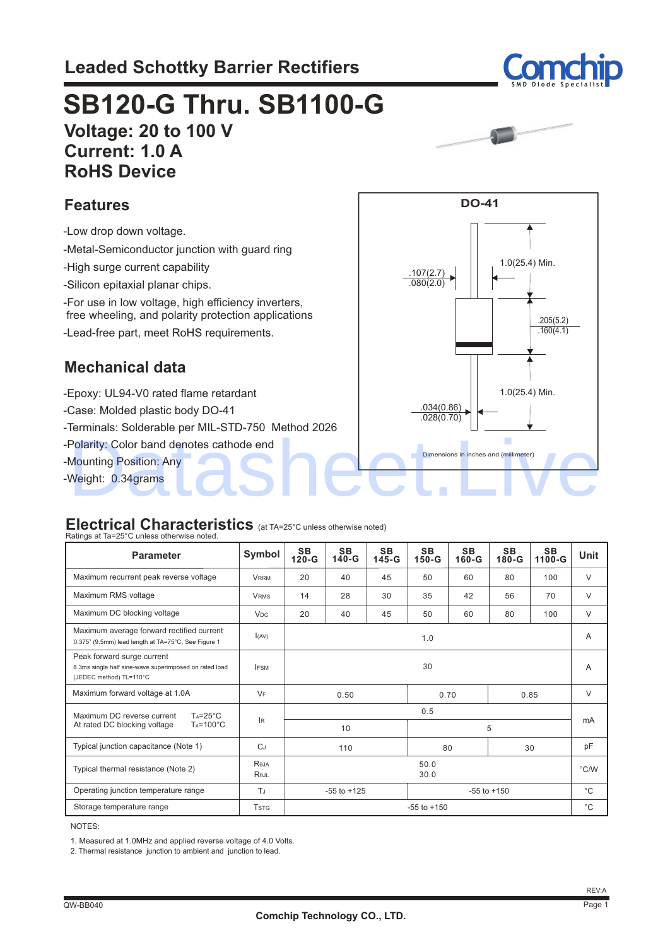

## **Voltage: 20 to 100 V Current: 1.0 A RoHS Device SB120-G Thru. SB1100-G**



1.0(25.4) Min.

.205(5.2) .160(4.1)

1.0(25.4) Min.

**DO-41**

.107(2.7)  $.080(2.0)$ 

> .034(0.86)  $.028(0.70)$

Dimensions in inches and (millimeter)

#### **Features**

 -Low drop down voltage. -Metal-Semiconductor junction with guard ring -High surge current capability -Silicon epitaxial planar chips. -Lead-free part, meet RoHS requirements. -For use in low voltage, high efficiency inverters, free wheeling, and polarity protection applications

### **Mechanical data**

 -Epoxy: UL94-V0 rated flame retardant -Case: Molded plastic body DO-41

-Terminals: Solderable per MIL-STD-750 Method 2026

 -Polarity: Color band denotes cathode end Polarity: Color band denotes cathode end<br>Mounting Position: Any<br>Weight: 0.34grams

-Mounting Position: Any

-Weight: 0.34grams

#### **Electrical Characteristics** (at TA=25°C unless otherwise noted)

| Ratings at Ta=25°C unless otherwise noted.                                                                      |                       |                                    |                      |                      |                        |                      |                    |                     |             |
|-----------------------------------------------------------------------------------------------------------------|-----------------------|------------------------------------|----------------------|----------------------|------------------------|----------------------|--------------------|---------------------|-------------|
| <b>Parameter</b>                                                                                                | Symbol                | <b>SB</b><br>$120-G$               | <b>SB</b><br>$140-G$ | <b>SB</b><br>$145-G$ | <b>SB</b><br>$150 - G$ | <b>SB</b><br>$160-G$ | <b>SB</b><br>180-G | <b>SB</b><br>1100-G | <b>Unit</b> |
| Maximum recurrent peak reverse voltage                                                                          | <b>VRRM</b>           | 20                                 | 40                   | 45                   | 50                     | 60                   | 80                 | 100                 | $\vee$      |
| Maximum RMS voltage                                                                                             | <b>VRMS</b>           | 14                                 | 28                   | 30                   | 35                     | 42                   | 56                 | 70                  | $\vee$      |
| Maximum DC blocking voltage                                                                                     | <b>V<sub>DC</sub></b> | 20                                 | 40                   | 45                   | 50                     | 60                   | 80                 | 100                 | $\vee$      |
| Maximum average forward rectified current<br>0.375" (9.5mm) lead length at TA=75°C, See Figure 1                | I(AV)                 | 1.0                                |                      |                      | A                      |                      |                    |                     |             |
| Peak forward surge current<br>8.3ms single half sine-wave superimposed on rated load<br>(JEDEC method) TL=110°C | <b>IFSM</b>           | 30                                 |                      |                      | $\overline{A}$         |                      |                    |                     |             |
| Maximum forward voltage at 1.0A                                                                                 | $V_F$                 |                                    | 0.50                 |                      |                        | 0.70                 |                    | 0.85                | $\vee$      |
| Maximum DC reverse current<br>$T_A = 25^\circ C$                                                                |                       | 0.5                                |                      |                      |                        |                      |                    |                     |             |
| At rated DC blocking voltage<br>$Ta=100^{\circ}C$                                                               | IR.                   | 10                                 |                      |                      | 5                      |                      |                    |                     | mA          |
| Typical junction capacitance (Note 1)                                                                           | $C_J$                 | 80<br>30<br>110                    |                      |                      | pF                     |                      |                    |                     |             |
| Typical thermal resistance (Note 2)                                                                             | Reja<br>Rejl          | 50.0<br>30.0                       |                      |                      | $\degree$ C/W          |                      |                    |                     |             |
| Operating junction temperature range                                                                            | TJ                    | $-55$ to $+125$<br>$-55$ to $+150$ |                      |                      | $^{\circ}$ C           |                      |                    |                     |             |
| Storage temperature range                                                                                       | <b>TSTG</b>           | $-55$ to $+150$                    |                      |                      |                        | $^{\circ}$ C         |                    |                     |             |

NOTES:

1. Measured at 1.0MHz and applied reverse voltage of 4.0 Volts.

2. Thermal resistance junction to ambient and junction to lead.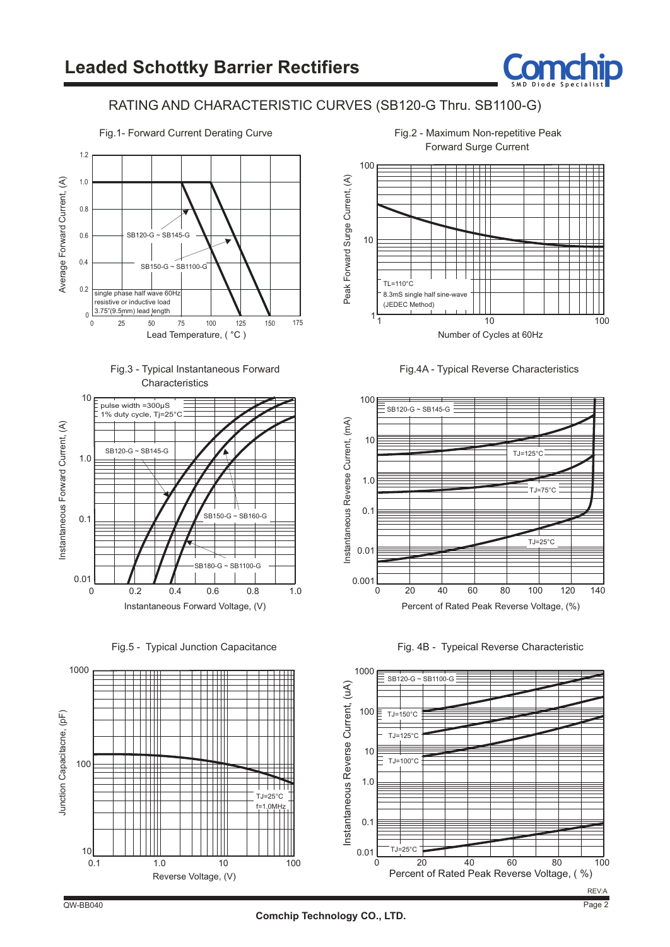

#### RATING AND CHARACTERISTIC CURVES (SB120-G Thru. SB1100-G)









Fig.5 - Typical Junction Capacitance





Fig.2 - Maximum Non-repetitive Peak Forward Surge Current





Fig. 4B - Typeical Reverse Characteristic

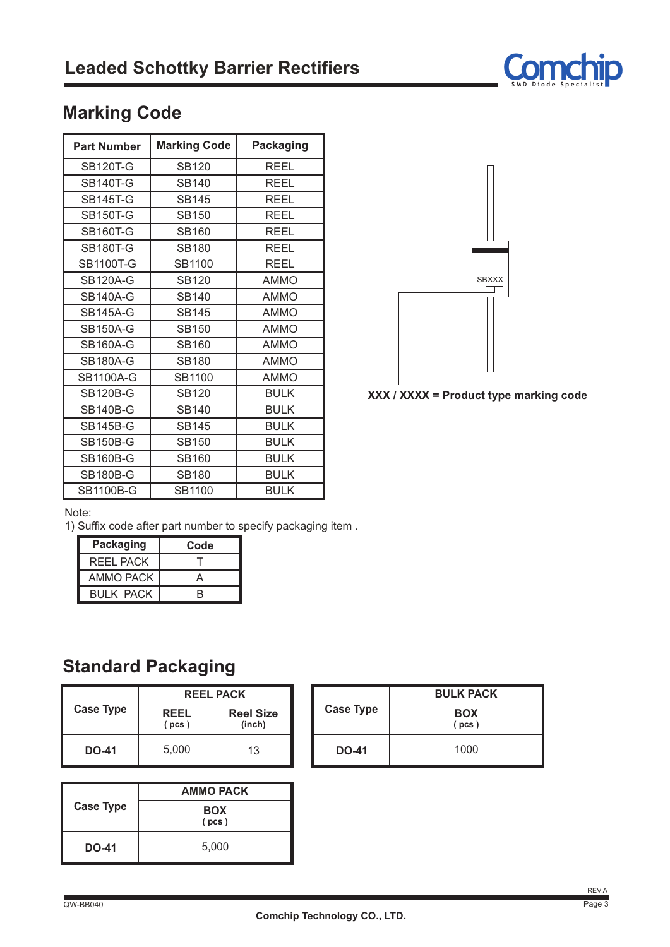

## **Marking Code**

| <b>Part Number</b> | <b>Marking Code</b> | <b>Packaging</b> |
|--------------------|---------------------|------------------|
| <b>SB120T-G</b>    | <b>SB120</b>        | REEL             |
| <b>SB140T-G</b>    | <b>SB140</b>        | <b>REEL</b>      |
| <b>SB145T-G</b>    | SB145               | REEL             |
| <b>SB150T-G</b>    | <b>SB150</b>        | REEL             |
| <b>SB160T-G</b>    | <b>SB160</b>        | REEL             |
| <b>SB180T-G</b>    | <b>SB180</b>        | REEL             |
| <b>SB1100T-G</b>   | SB1100              | REEL             |
| <b>SB120A-G</b>    | <b>SB120</b>        | <b>AMMO</b>      |
| <b>SB140A-G</b>    | <b>SB140</b>        | <b>AMMO</b>      |
| <b>SB145A-G</b>    | <b>SB145</b>        | <b>AMMO</b>      |
| <b>SB150A-G</b>    | <b>SB150</b>        | <b>AMMO</b>      |
| <b>SB160A-G</b>    | SB160               | <b>AMMO</b>      |
| <b>SB180A-G</b>    | <b>SB180</b>        | <b>AMMO</b>      |
| <b>SB1100A-G</b>   | SB1100              | <b>AMMO</b>      |
| <b>SB120B-G</b>    | <b>SB120</b>        | <b>BULK</b>      |
| <b>SB140B-G</b>    | <b>SB140</b>        | <b>BULK</b>      |
| <b>SB145B-G</b>    | <b>SB145</b>        | <b>BULK</b>      |
| <b>SB150B-G</b>    | <b>SB150</b>        | <b>BULK</b>      |
| <b>SB160B-G</b>    | SB160               | <b>BULK</b>      |
| <b>SB180B-G</b>    | <b>SB180</b>        | <b>BULK</b>      |
| <b>SB1100B-G</b>   | SB1100              | <b>BULK</b>      |



**XXX / XXXX = Product type marking code**

#### Note:

1) Suffix code after part number to specify packaging item .

| <b>Packaging</b> | Code |
|------------------|------|
| <b>REEL PACK</b> |      |
| AMMO PACK        | Д    |
| <b>BULK PACK</b> | R    |

## **Standard Packaging**

|                  | <b>REEL PACK</b>     |                            |  |  |
|------------------|----------------------|----------------------------|--|--|
| <b>Case Type</b> | <b>REEL</b><br>(pcs) | <b>Reel Size</b><br>(inch) |  |  |
| <b>DO-41</b>     | 5.000                | 13                         |  |  |

| <b>Case Type</b> | <b>AMMO PACK</b>    |  |  |
|------------------|---------------------|--|--|
|                  | <b>BOX</b><br>(pcs) |  |  |
| <b>DO-41</b>     | 5,000               |  |  |

| <b>Case Type</b> | <b>BULK PACK</b>    |  |  |
|------------------|---------------------|--|--|
|                  | <b>BOX</b><br>(pcs) |  |  |
| <b>DO-41</b>     | 1000                |  |  |